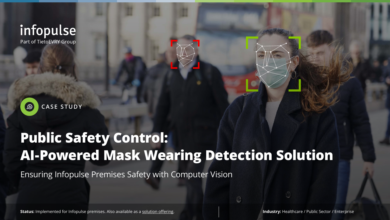# **Public Safety Control: AI-Powered Mask Wearing Detection Solution**

Ensuring Infopulse Premises Safety with Computer Vision

Status: Implemented for Infopulse premises. Also available as a [solution offering](https://www.infopulse.com/solutions/mask-wearing-detection-solution/?utm_source=case&utm_medium=referral&utm_campaign=ai-powered_mask_wearing_detection). **Industry: Healthcare / Public Sector / Enterprise** 



# infopulse Part of TietoEVRY Group

**CASE STUDY** $\bigoplus$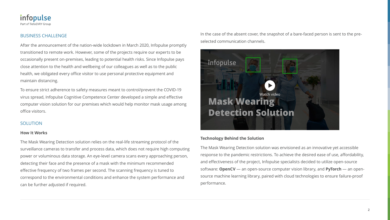**2**



### BUSINESS CHALLENGE

After the announcement of the nation-wide lockdown in March 2020, Infopulse promptly transitioned to remote work. However, some of the projects require our experts to be occasionally present on-premises, leading to potential health risks. Since Infopulse pays close attention to the health and wellbeing of our colleagues as well as to the public health, we obligated every office visitor to use personal protective equipment and maintain distancing.

To ensure strict adherence to safety measures meant to control/prevent the COVID-19 virus spread, Infopulse Cognitive Competence Center developed a simple and effective computer vision solution for our premises which would help monitor mask usage among office visitors.

### SOLUTION

#### **How It Works**

The Mask Wearing Detection solution relies on the real-life streaming protocol of the surveillance cameras to transfer and process data, which does not require high computing power or voluminous data storage. An eye-level camera scans every approaching person, detecting their face and the presence of a mask with the minimum recommended effective frequency of two frames per second. The scanning frequency is tuned to correspond to the environmental conditions and enhance the system performance and can be further adjusted if required. The Mask Wearing Detection solution was envisioned as an innovative yet accessible response to the pandemic restrictions. To achieve the desired ease of use, affordability, and effectiveness of the project, Infopulse specialists decided to utilize open-source software: **OpenCV** — an open-source computer vision library, and **PyTorch** — an opensource machine learning library, paired with cloud technologies to ensure failure-proof performance.

In the case of the absent cover, the snapshot of a bare-faced person is sent to the preselected communication channels.



#### **Technology Behind the Solution**

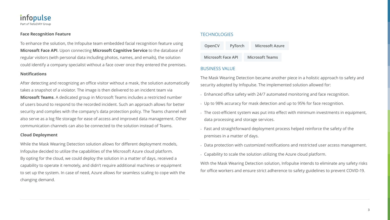**3**



#### **Face Recognition Feature**

To enhance the solution, the Infopulse team embedded facial recognition feature using **Microsoft Face API**. Upon connecting **Microsoft Cognitive Service** to the database of regular visitors (with personal data including photos, names, and emails), the solution could identify a company specialist without a face cover once they entered the premises.

#### **Notifications**

After detecting and recognizing an office visitor without a mask, the solution automatical takes a snapshot of a violator. The image is then delivered to an incident team via **Microsoft Teams**. A dedicated group in Microsoft Teams includes a restricted number of users bound to respond to the recorded incident. Such an approach allows for better security and complies with the company's data protection policy. The Teams channel will also serve as a log file storage for ease of access and improved data management. Other communication channels can also be connected to the solution instead of Teams.

#### **Cloud Deployment**

While the Mask Wearing Detection solution allows for different deployment models, Infopulse decided to utilize the capabilities of the Microsoft Azure cloud platform. By opting for the cloud, we could deploy the solution in a matter of days, received a capability to operate it remotely, and didn't require additional machines or equipment to set up the system. In case of need, Azure allows for seamless scaling to cope with the changing demand.

## **TECHNOLOGIES**

|      | OpenCV                                                                                                                                                                                                         | PyTorch                                                                                                           | <b>Microsoft Azure</b> |  |  |
|------|----------------------------------------------------------------------------------------------------------------------------------------------------------------------------------------------------------------|-------------------------------------------------------------------------------------------------------------------|------------------------|--|--|
|      | <b>Microsoft Face API</b>                                                                                                                                                                                      |                                                                                                                   | <b>Microsoft Teams</b> |  |  |
|      | <b>BUSINESS VALUE</b>                                                                                                                                                                                          |                                                                                                                   |                        |  |  |
| lly. | The Mask Wearing Detection became another piece in a holistic approach to safety and<br>security adopted by Infopulse. The implemented solution allowed for:                                                   |                                                                                                                   |                        |  |  |
|      | . Enhanced office safety with 24/7 automated monitoring and face recognition.                                                                                                                                  |                                                                                                                   |                        |  |  |
|      | . Up to 98% accuracy for mask detection and up to 95% for face recognition.<br>. The cost-efficient system was put into effect with minimum investments in equipment,<br>data processing and storage services. |                                                                                                                   |                        |  |  |
|      |                                                                                                                                                                                                                |                                                                                                                   |                        |  |  |
|      |                                                                                                                                                                                                                | . Fast and straightforward deployment process helped reinforce the safety of the<br>premises in a matter of days. |                        |  |  |
|      | . Data protection with customized notifications and restricted user access management.                                                                                                                         |                                                                                                                   |                        |  |  |
|      | . Capability to scale the solution utilizing the Azure cloud platform.                                                                                                                                         |                                                                                                                   |                        |  |  |
|      | With the Mask Wearing Detection solution, Infopulse intends to eliminate any safety risks<br>for office workers and ensure strict adherence to safety guidelines to prevent COVID-19.                          |                                                                                                                   |                        |  |  |
|      |                                                                                                                                                                                                                |                                                                                                                   |                        |  |  |